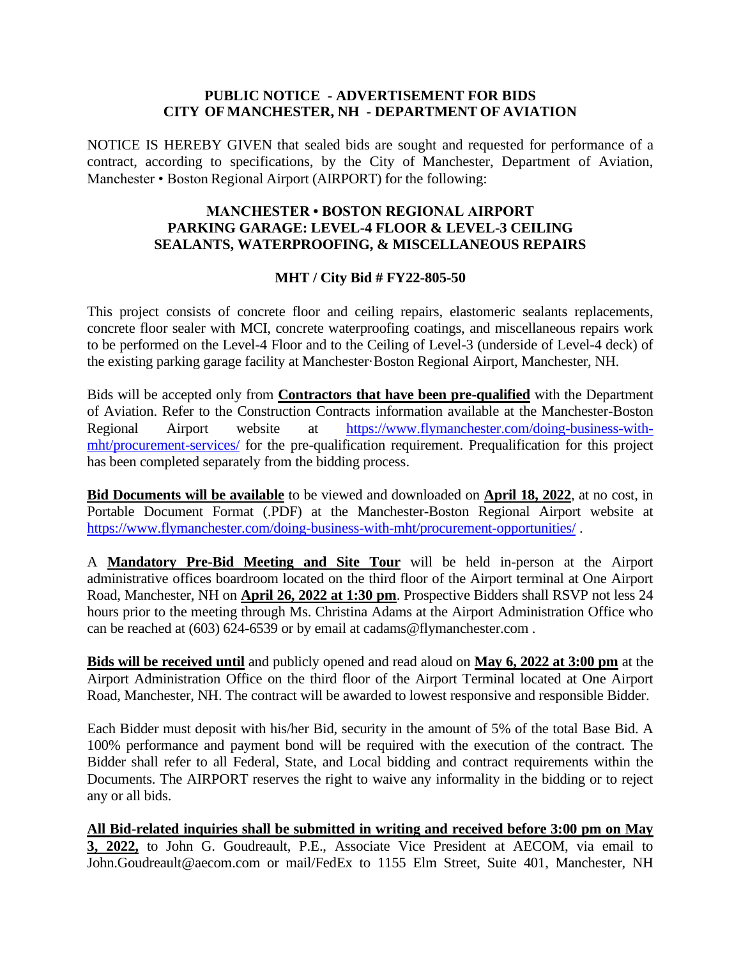## **PUBLIC NOTICE - ADVERTISEMENT FOR BIDS CITY OF MANCHESTER, NH - DEPARTMENT OF AVIATION**

NOTICE IS HEREBY GIVEN that sealed bids are sought and requested for performance of a contract, according to specifications, by the City of Manchester, Department of Aviation, Manchester • Boston Regional Airport (AIRPORT) for the following:

## **MANCHESTER • BOSTON REGIONAL AIRPORT PARKING GARAGE: LEVEL-4 FLOOR & LEVEL-3 CEILING SEALANTS, WATERPROOFING, & MISCELLANEOUS REPAIRS**

## **MHT / City Bid # FY22-805-50**

This project consists of concrete floor and ceiling repairs, elastomeric sealants replacements, concrete floor sealer with MCI, concrete waterproofing coatings, and miscellaneous repairs work to be performed on the Level-4 Floor and to the Ceiling of Level-3 (underside of Level-4 deck) of the existing parking garage facility at Manchester·Boston Regional Airport, Manchester, NH.

Bids will be accepted only from **Contractors that have been pre-qualified** with the Department of Aviation. Refer to the Construction Contracts information available at the Manchester-Boston Regional Airport website at [https://www.flymanchester.com/doing-business-with](https://www.flymanchester.com/doing-business-with-mht/procurement-services/)[mht/procurement-services/](https://www.flymanchester.com/doing-business-with-mht/procurement-services/) for the pre-qualification requirement. Prequalification for this project has been completed separately from the bidding process.

**Bid Documents will be available** to be viewed and downloaded on **April 18, 2022**, at no cost, in Portable Document Format (.PDF) at the Manchester-Boston Regional Airport website at <https://www.flymanchester.com/doing-business-with-mht/procurement-opportunities/> .

A **Mandatory Pre-Bid Meeting and Site Tour** will be held in-person at the Airport administrative offices boardroom located on the third floor of the Airport terminal at One Airport Road, Manchester, NH on **April 26, 2022 at 1:30 pm**. Prospective Bidders shall RSVP not less 24 hours prior to the meeting through Ms. Christina Adams at the Airport Administration Office who can be reached at (603) 624-6539 or by email at cadams@flymanchester.com .

**Bids will be received until** and publicly opened and read aloud on **May 6, 2022 at 3:00 pm** at the Airport Administration Office on the third floor of the Airport Terminal located at One Airport Road, Manchester, NH. The contract will be awarded to lowest responsive and responsible Bidder.

Each Bidder must deposit with his/her Bid, security in the amount of 5% of the total Base Bid. A 100% performance and payment bond will be required with the execution of the contract. The Bidder shall refer to all Federal, State, and Local bidding and contract requirements within the Documents. The AIRPORT reserves the right to waive any informality in the bidding or to reject any or all bids.

**All Bid-related inquiries shall be submitted in writing and received before 3:00 pm on May 3, 2022,** to John G. Goudreault, P.E., Associate Vice President at AECOM, via email to John.Goudreault@aecom.com or mail/FedEx to 1155 Elm Street, Suite 401, Manchester, NH